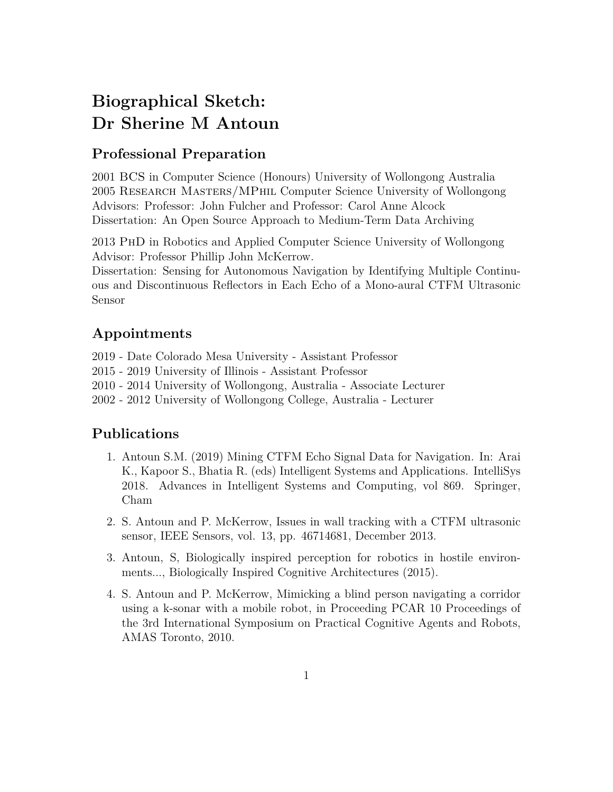## **Biographical Sketch: Dr Sherine M Antoun**

## **Professional Preparation**

2001 BCS in Computer Science (Honours) University of Wollongong Australia 2005 Research Masters/MPhil Computer Science University of Wollongong Advisors: Professor: John Fulcher and Professor: Carol Anne Alcock Dissertation: An Open Source Approach to Medium-Term Data Archiving

2013 PhD in Robotics and Applied Computer Science University of Wollongong Advisor: Professor Phillip John McKerrow.

Dissertation: Sensing for Autonomous Navigation by Identifying Multiple Continuous and Discontinuous Reflectors in Each Echo of a Mono-aural CTFM Ultrasonic Sensor

## **Appointments**

2019 - Date Colorado Mesa University - Assistant Professor

- 2015 2019 University of Illinois Assistant Professor
- 2010 2014 University of Wollongong, Australia Associate Lecturer
- 2002 2012 University of Wollongong College, Australia Lecturer

## **Publications**

- 1. Antoun S.M. (2019) Mining CTFM Echo Signal Data for Navigation. In: Arai K., Kapoor S., Bhatia R. (eds) Intelligent Systems and Applications. IntelliSys 2018. Advances in Intelligent Systems and Computing, vol 869. Springer, Cham
- 2. S. Antoun and P. McKerrow, Issues in wall tracking with a CTFM ultrasonic sensor, IEEE Sensors, vol. 13, pp. 46714681, December 2013.
- 3. Antoun, S, Biologically inspired perception for robotics in hostile environments..., Biologically Inspired Cognitive Architectures (2015).
- 4. S. Antoun and P. McKerrow, Mimicking a blind person navigating a corridor using a k-sonar with a mobile robot, in Proceeding PCAR 10 Proceedings of the 3rd International Symposium on Practical Cognitive Agents and Robots, AMAS Toronto, 2010.